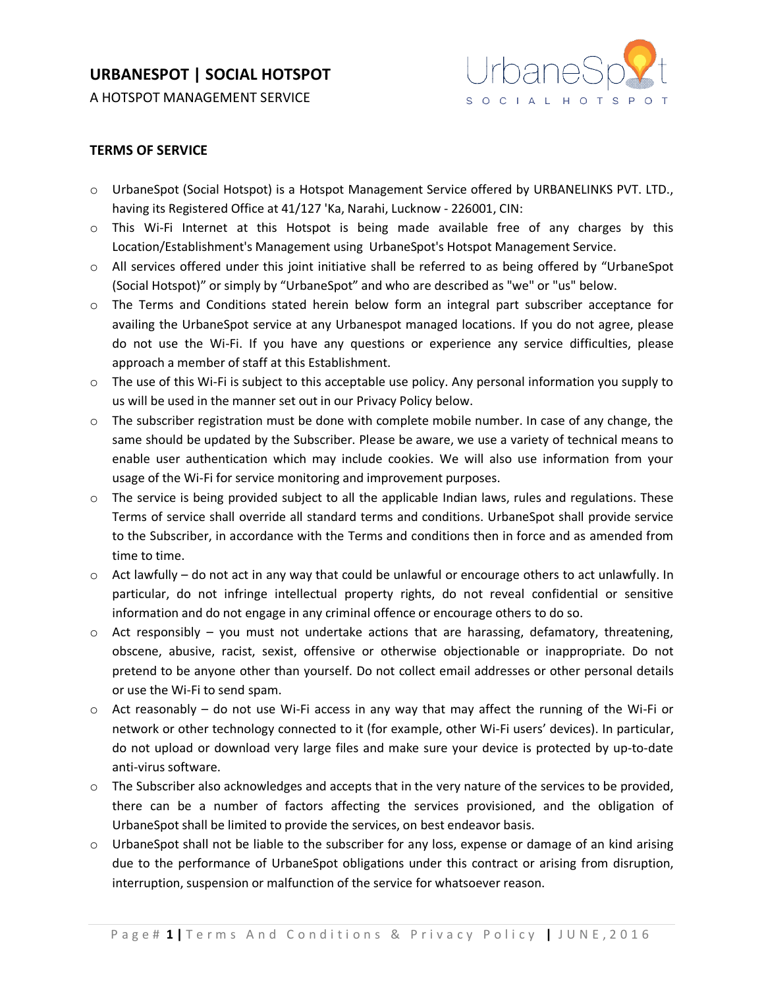A HOTSPOT MANAGEMENT SERVICE



#### **TERMS OF SERVICE**

- o UrbaneSpot (Social Hotspot) is a Hotspot Management Service offered by URBANELINKS PVT. LTD., having its Registered Office at 41/127 'Ka, Narahi, Lucknow - 226001, CIN:
- $\circ$  This Wi-Fi Internet at this Hotspot is being made available free of any charges by this Location/Establishment's Management using UrbaneSpot's Hotspot Management Service.
- o All services offered under this joint initiative shall be referred to as being offered by "UrbaneSpot (Social Hotspot)" or simply by "UrbaneSpot" and who are described as "we" or "us" below.
- o The Terms and Conditions stated herein below form an integral part subscriber acceptance for availing the UrbaneSpot service at any Urbanespot managed locations. If you do not agree, please do not use the Wi-Fi. If you have any questions or experience any service difficulties, please approach a member of staff at this Establishment.
- $\circ$  The use of this Wi-Fi is subject to this acceptable use policy. Any personal information you supply to us will be used in the manner set out in our Privacy Policy below.
- $\circ$  The subscriber registration must be done with complete mobile number. In case of any change, the same should be updated by the Subscriber. Please be aware, we use a variety of technical means to enable user authentication which may include cookies. We will also use information from your usage of the Wi-Fi for service monitoring and improvement purposes.
- $\circ$  The service is being provided subject to all the applicable Indian laws, rules and regulations. These Terms of service shall override all standard terms and conditions. UrbaneSpot shall provide service to the Subscriber, in accordance with the Terms and conditions then in force and as amended from time to time.
- o Act lawfully do not act in any way that could be unlawful or encourage others to act unlawfully. In particular, do not infringe intellectual property rights, do not reveal confidential or sensitive information and do not engage in any criminal offence or encourage others to do so.
- $\circ$  Act responsibly you must not undertake actions that are harassing, defamatory, threatening, obscene, abusive, racist, sexist, offensive or otherwise objectionable or inappropriate. Do not pretend to be anyone other than yourself. Do not collect email addresses or other personal details or use the Wi-Fi to send spam.
- $\circ$  Act reasonably do not use Wi-Fi access in any way that may affect the running of the Wi-Fi or network or other technology connected to it (for example, other Wi-Fi users' devices). In particular, do not upload or download very large files and make sure your device is protected by up-to-date anti-virus software.
- $\circ$  The Subscriber also acknowledges and accepts that in the very nature of the services to be provided, there can be a number of factors affecting the services provisioned, and the obligation of UrbaneSpot shall be limited to provide the services, on best endeavor basis.
- o UrbaneSpot shall not be liable to the subscriber for any loss, expense or damage of an kind arising due to the performance of UrbaneSpot obligations under this contract or arising from disruption, interruption, suspension or malfunction of the service for whatsoever reason.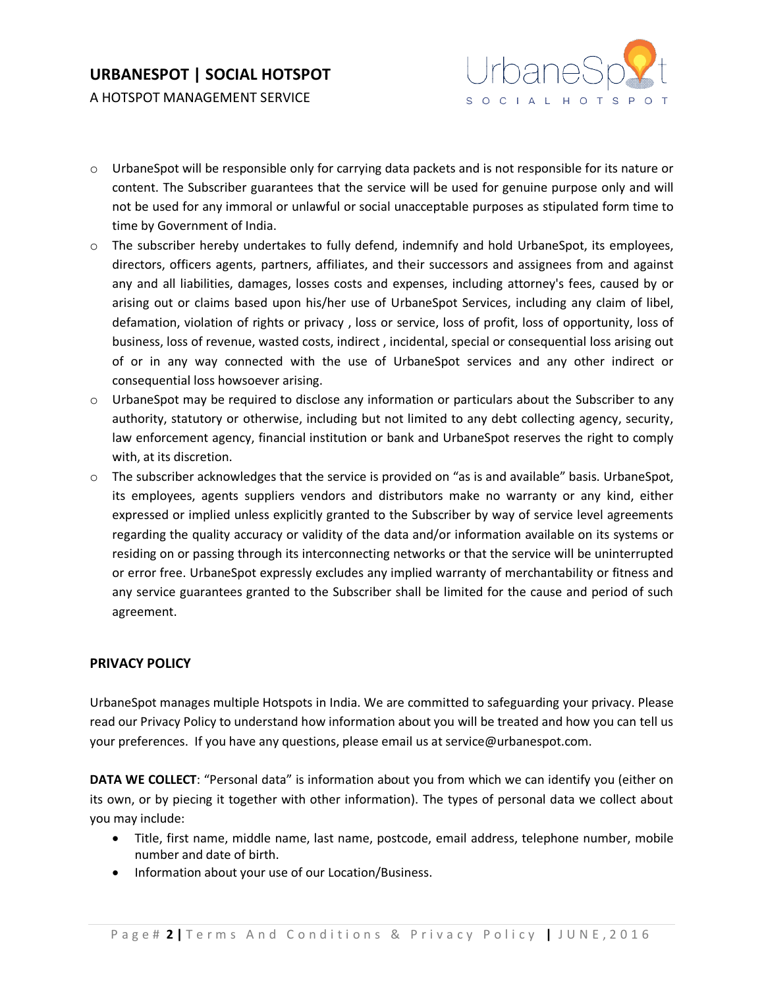A HOTSPOT MANAGEMENT SERVICE



- o UrbaneSpot will be responsible only for carrying data packets and is not responsible for its nature or content. The Subscriber guarantees that the service will be used for genuine purpose only and will not be used for any immoral or unlawful or social unacceptable purposes as stipulated form time to time by Government of India.
- o The subscriber hereby undertakes to fully defend, indemnify and hold UrbaneSpot, its employees, directors, officers agents, partners, affiliates, and their successors and assignees from and against any and all liabilities, damages, losses costs and expenses, including attorney's fees, caused by or arising out or claims based upon his/her use of UrbaneSpot Services, including any claim of libel, defamation, violation of rights or privacy , loss or service, loss of profit, loss of opportunity, loss of business, loss of revenue, wasted costs, indirect , incidental, special or consequential loss arising out of or in any way connected with the use of UrbaneSpot services and any other indirect or consequential loss howsoever arising.
- o UrbaneSpot may be required to disclose any information or particulars about the Subscriber to any authority, statutory or otherwise, including but not limited to any debt collecting agency, security, law enforcement agency, financial institution or bank and UrbaneSpot reserves the right to comply with, at its discretion.
- $\circ$  The subscriber acknowledges that the service is provided on "as is and available" basis. UrbaneSpot, its employees, agents suppliers vendors and distributors make no warranty or any kind, either expressed or implied unless explicitly granted to the Subscriber by way of service level agreements regarding the quality accuracy or validity of the data and/or information available on its systems or residing on or passing through its interconnecting networks or that the service will be uninterrupted or error free. UrbaneSpot expressly excludes any implied warranty of merchantability or fitness and any service guarantees granted to the Subscriber shall be limited for the cause and period of such agreement.

#### **PRIVACY POLICY**

UrbaneSpot manages multiple Hotspots in India. We are committed to safeguarding your privacy. Please read our Privacy Policy to understand how information about you will be treated and how you can tell us your preferences. If you have any questions, please email us at [service@urbanespot.com.](mailto:service@urbanespot.com.)

**DATA WE COLLECT**: "Personal data" is information about you from which we can identify you (either on its own, or by piecing it together with other information). The types of personal data we collect about you may include:

- Title, first name, middle name, last name, postcode, email address, telephone number, mobile number and date of birth.
- Information about your use of our Location/Business.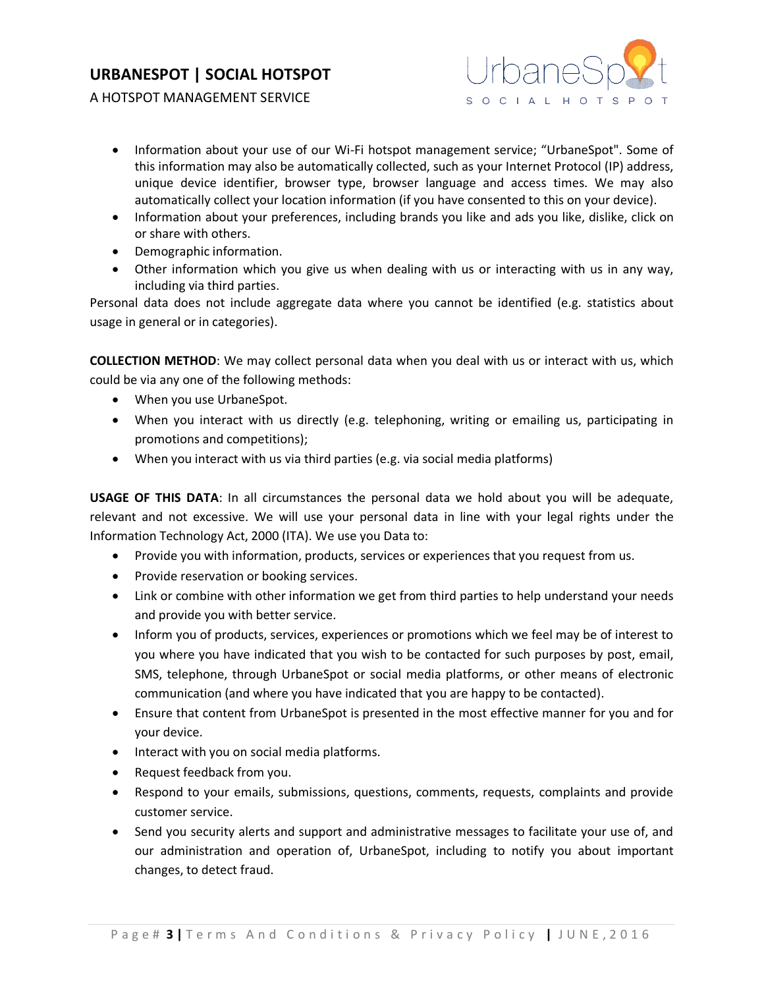

A HOTSPOT MANAGEMENT SERVICE

- Information about your use of our Wi-Fi hotspot management service; "UrbaneSpot". Some of this information may also be automatically collected, such as your Internet Protocol (IP) address, unique device identifier, browser type, browser language and access times. We may also automatically collect your location information (if you have consented to this on your device).
- Information about your preferences, including brands you like and ads you like, dislike, click on or share with others.
- Demographic information.
- Other information which you give us when dealing with us or interacting with us in any way, including via third parties.

Personal data does not include aggregate data where you cannot be identified (e.g. statistics about usage in general or in categories).

**COLLECTION METHOD**: We may collect personal data when you deal with us or interact with us, which could be via any one of the following methods:

- When you use UrbaneSpot.
- When you interact with us directly (e.g. telephoning, writing or emailing us, participating in promotions and competitions);
- When you interact with us via third parties (e.g. via social media platforms)

**USAGE OF THIS DATA**: In all circumstances the personal data we hold about you will be adequate, relevant and not excessive. We will use your personal data in line with your legal rights under the Information Technology Act, 2000 (ITA). We use you Data to:

- Provide you with information, products, services or experiences that you request from us.
- Provide reservation or booking services.
- Link or combine with other information we get from third parties to help understand your needs and provide you with better service.
- Inform you of products, services, experiences or promotions which we feel may be of interest to you where you have indicated that you wish to be contacted for such purposes by post, email, SMS, telephone, through UrbaneSpot or social media platforms, or other means of electronic communication (and where you have indicated that you are happy to be contacted).
- Ensure that content from UrbaneSpot is presented in the most effective manner for you and for your device.
- Interact with you on social media platforms.
- Request feedback from you.
- Respond to your emails, submissions, questions, comments, requests, complaints and provide customer service.
- Send you security alerts and support and administrative messages to facilitate your use of, and our administration and operation of, UrbaneSpot, including to notify you about important changes, to detect fraud.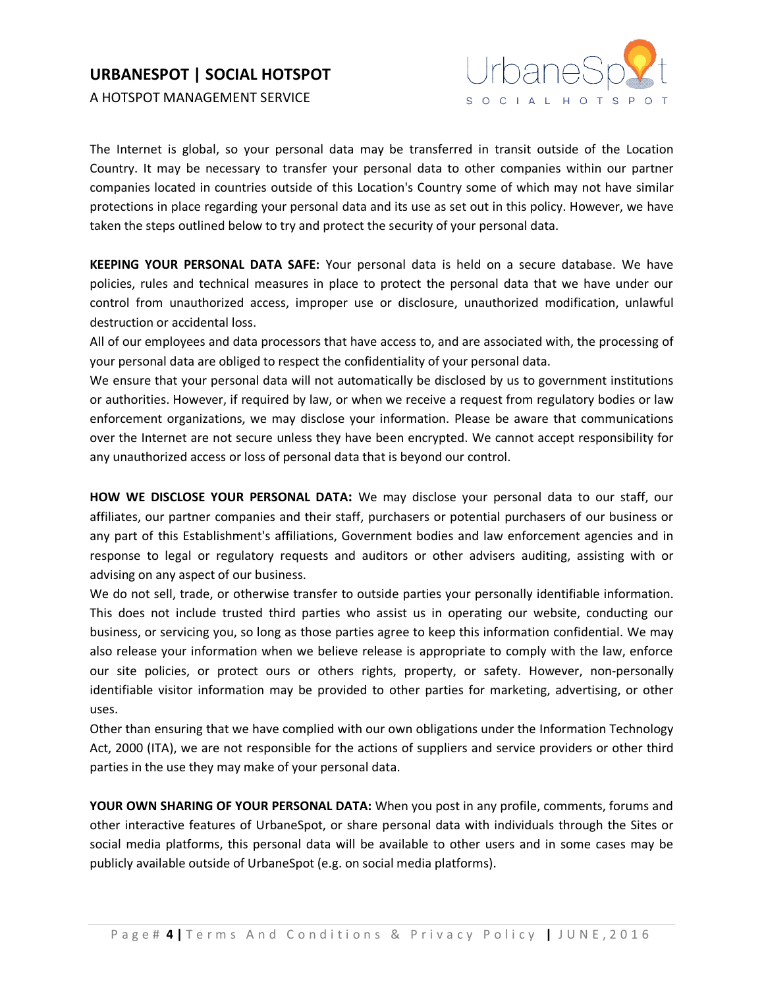A HOTSPOT MANAGEMENT SERVICE



The Internet is global, so your personal data may be transferred in transit outside of the Location Country. It may be necessary to transfer your personal data to other companies within our partner companies located in countries outside of this Location's Country some of which may not have similar protections in place regarding your personal data and its use as set out in this policy. However, we have taken the steps outlined below to try and protect the security of your personal data.

**KEEPING YOUR PERSONAL DATA SAFE:** Your personal data is held on a secure database. We have policies, rules and technical measures in place to protect the personal data that we have under our control from unauthorized access, improper use or disclosure, unauthorized modification, unlawful destruction or accidental loss.

All of our employees and data processors that have access to, and are associated with, the processing of your personal data are obliged to respect the confidentiality of your personal data.

We ensure that your personal data will not automatically be disclosed by us to government institutions or authorities. However, if required by law, or when we receive a request from regulatory bodies or law enforcement organizations, we may disclose your information. Please be aware that communications over the Internet are not secure unless they have been encrypted. We cannot accept responsibility for any unauthorized access or loss of personal data that is beyond our control.

**HOW WE DISCLOSE YOUR PERSONAL DATA:** We may disclose your personal data to our staff, our affiliates, our partner companies and their staff, purchasers or potential purchasers of our business or any part of this Establishment's affiliations, Government bodies and law enforcement agencies and in response to legal or regulatory requests and auditors or other advisers auditing, assisting with or advising on any aspect of our business.

We do not sell, trade, or otherwise transfer to outside parties your personally identifiable information. This does not include trusted third parties who assist us in operating our website, conducting our business, or servicing you, so long as those parties agree to keep this information confidential. We may also release your information when we believe release is appropriate to comply with the law, enforce our site policies, or protect ours or others rights, property, or safety. However, non-personally identifiable visitor information may be provided to other parties for marketing, advertising, or other uses.

Other than ensuring that we have complied with our own obligations under the Information Technology Act, 2000 (ITA), we are not responsible for the actions of suppliers and service providers or other third parties in the use they may make of your personal data.

**YOUR OWN SHARING OF YOUR PERSONAL DATA:** When you post in any profile, comments, forums and other interactive features of UrbaneSpot, or share personal data with individuals through the Sites or social media platforms, this personal data will be available to other users and in some cases may be publicly available outside of UrbaneSpot (e.g. on social media platforms).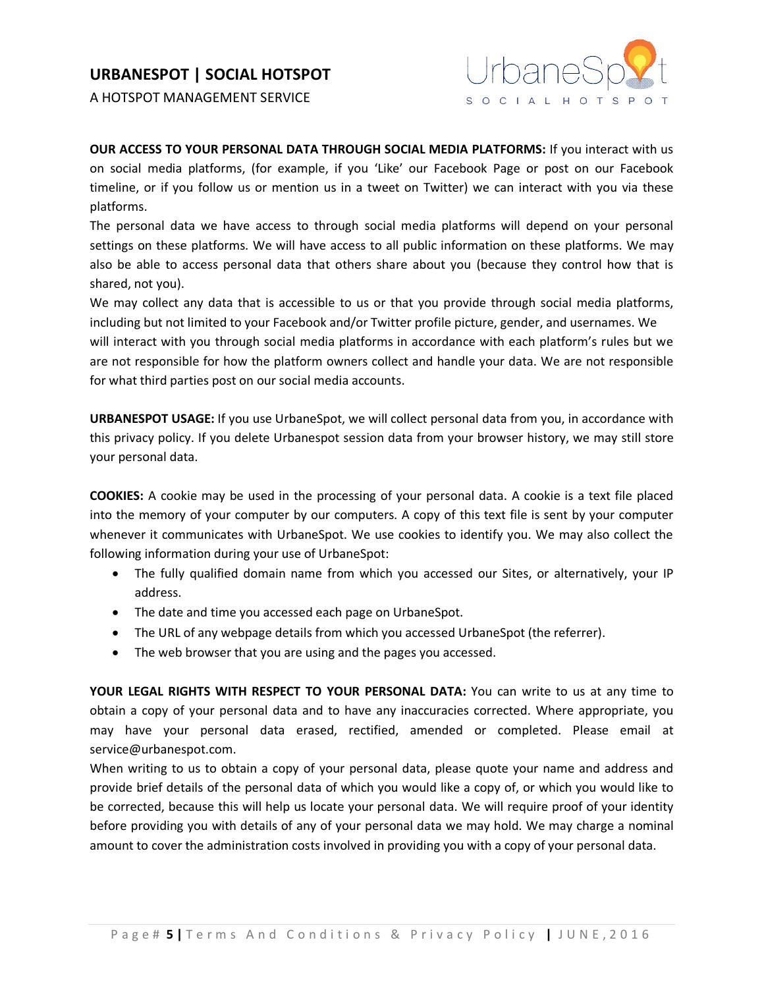



**OUR ACCESS TO YOUR PERSONAL DATA THROUGH SOCIAL MEDIA PLATFORMS:** If you interact with us on social media platforms, (for example, if you 'Like' our Facebook Page or post on our Facebook timeline, or if you follow us or mention us in a tweet on Twitter) we can interact with you via these platforms.

The personal data we have access to through social media platforms will depend on your personal settings on these platforms. We will have access to all public information on these platforms. We may also be able to access personal data that others share about you (because they control how that is shared, not you).

We may collect any data that is accessible to us or that you provide through social media platforms, including but not limited to your Facebook and/or Twitter profile picture, gender, and usernames. We

will interact with you through social media platforms in accordance with each platform's rules but we are not responsible for how the platform owners collect and handle your data. We are not responsible for what third parties post on our social media accounts.

**URBANESPOT USAGE:** If you use UrbaneSpot, we will collect personal data from you, in accordance with this privacy policy. If you delete Urbanespot session data from your browser history, we may still store your personal data.

**COOKIES:** A cookie may be used in the processing of your personal data. A cookie is a text file placed into the memory of your computer by our computers. A copy of this text file is sent by your computer whenever it communicates with UrbaneSpot. We use cookies to identify you. We may also collect the following information during your use of UrbaneSpot:

- The fully qualified domain name from which you accessed our Sites, or alternatively, your IP address.
- The date and time you accessed each page on UrbaneSpot.
- The URL of any webpage details from which you accessed UrbaneSpot (the referrer).
- The web browser that you are using and the pages you accessed.

**YOUR LEGAL RIGHTS WITH RESPECT TO YOUR PERSONAL DATA:** You can write to us at any time to obtain a copy of your personal data and to have any inaccuracies corrected. Where appropriate, you may have your personal data erased, rectified, amended or completed. Please email at [service@urbanespot.com.](mailto:service@urbanespot.com.)

When writing to us to obtain a copy of your personal data, please quote your name and address and provide brief details of the personal data of which you would like a copy of, or which you would like to be corrected, because this will help us locate your personal data. We will require proof of your identity before providing you with details of any of your personal data we may hold. We may charge a nominal amount to cover the administration costs involved in providing you with a copy of your personal data.